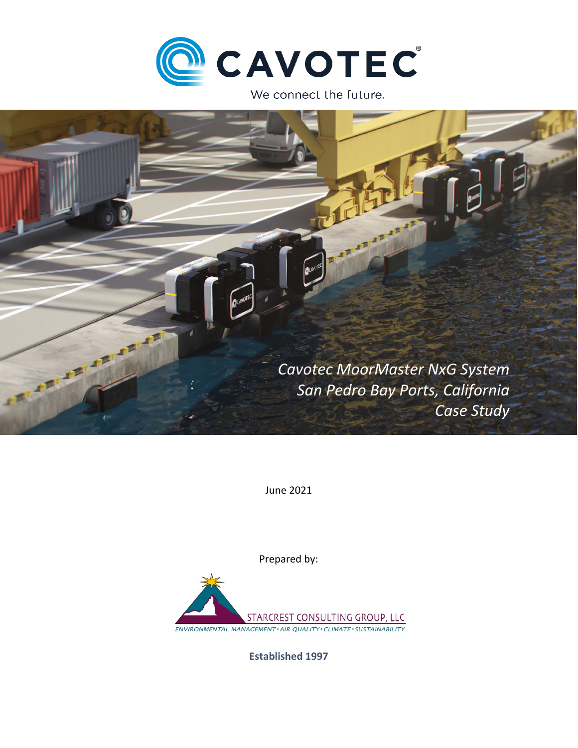

We connect the future.



June 2021

Prepared by:



**Established 1997**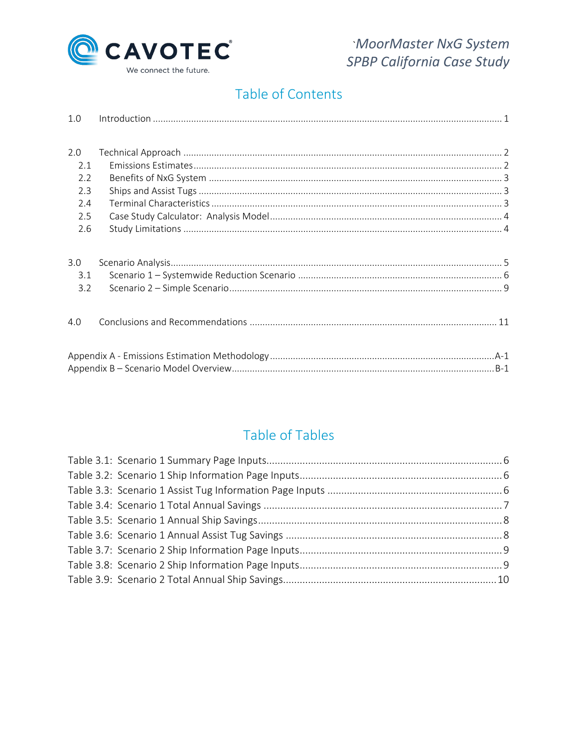

# Table of Contents

| 1.0 |  |
|-----|--|
|     |  |
| 2.0 |  |
| 2.1 |  |
| 2.2 |  |
| 2.3 |  |
| 2.4 |  |
| 2.5 |  |
| 2.6 |  |
|     |  |
| 3.0 |  |
| 3.1 |  |
| 3.2 |  |
|     |  |
|     |  |
| 4.0 |  |
|     |  |
|     |  |
|     |  |
|     |  |

# Table of Tables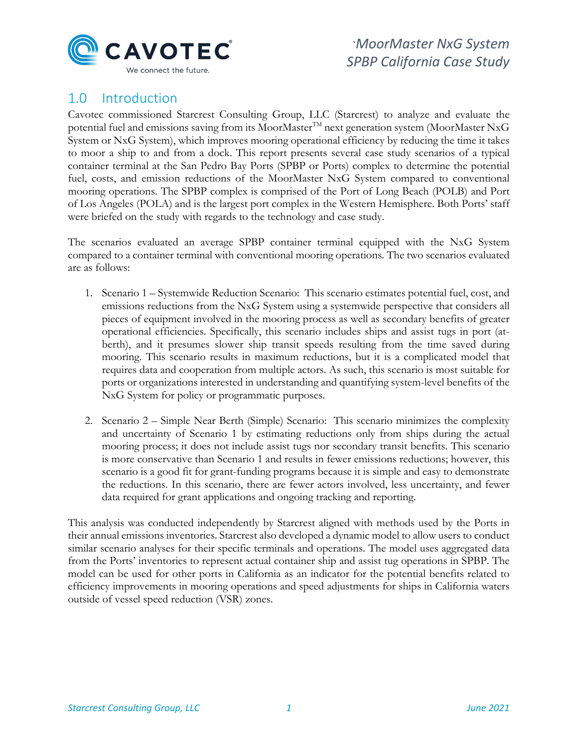

# <span id="page-2-0"></span>1.0 Introduction

Cavotec commissioned Starcrest Consulting Group, LLC (Starcrest) to analyze and evaluate the potential fuel and emissions saving from its MoorMaster<sup>TM</sup> next generation system (MoorMaster NxG System or NxG System), which improves mooring operational efficiency by reducing the time it takes to moor a ship to and from a dock. This report presents several case study scenarios of a typical container terminal at the San Pedro Bay Ports (SPBP or Ports) complex to determine the potential fuel, costs, and emission reductions of the MoorMaster NxG System compared to conventional mooring operations. The SPBP complex is comprised of the Port of Long Beach (POLB) and Port of Los Angeles (POLA) and is the largest port complex in the Western Hemisphere. Both Ports' staff were briefed on the study with regards to the technology and case study.

The scenarios evaluated an average SPBP container terminal equipped with the NxG System compared to a container terminal with conventional mooring operations. The two scenarios evaluated are as follows:

- 1. Scenario 1 Systemwide Reduction Scenario: This scenario estimates potential fuel, cost, and emissions reductions from the NxG System using a systemwide perspective that considers all pieces of equipment involved in the mooring process as well as secondary benefits of greater operational efficiencies. Specifically, this scenario includes ships and assist tugs in port (atberth), and it presumes slower ship transit speeds resulting from the time saved during mooring. This scenario results in maximum reductions, but it is a complicated model that requires data and cooperation from multiple actors. As such, this scenario is most suitable for ports or organizations interested in understanding and quantifying system-level benefits of the NxG System for policy or programmatic purposes.
- 2. Scenario 2 Simple Near Berth (Simple) Scenario: This scenario minimizes the complexity and uncertainty of Scenario 1 by estimating reductions only from ships during the actual mooring process; it does not include assist tugs nor secondary transit benefits. This scenario is more conservative than Scenario 1 and results in fewer emissions reductions; however, this scenario is a good fit for grant-funding programs because it is simple and easy to demonstrate the reductions. In this scenario, there are fewer actors involved, less uncertainty, and fewer data required for grant applications and ongoing tracking and reporting.

This analysis was conducted independently by Starcrest aligned with methods used by the Ports in their annual emissions inventories. Starcrest also developed a dynamic model to allow users to conduct similar scenario analyses for their specific terminals and operations. The model uses aggregated data from the Ports' inventories to represent actual container ship and assist tug operations in SPBP. The model can be used for other ports in California as an indicator for the potential benefits related to efficiency improvements in mooring operations and speed adjustments for ships in California waters outside of vessel speed reduction (VSR) zones.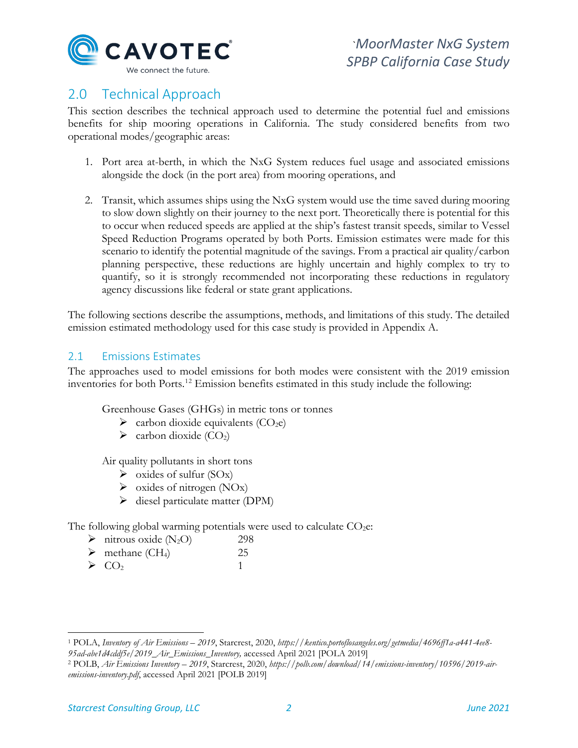

# <span id="page-3-0"></span>2.0 Technical Approach

This section describes the technical approach used to determine the potential fuel and emissions benefits for ship mooring operations in California. The study considered benefits from two operational modes/geographic areas:

- 1. Port area at-berth, in which the NxG System reduces fuel usage and associated emissions alongside the dock (in the port area) from mooring operations, and
- 2. Transit, which assumes ships using the NxG system would use the time saved during mooring to slow down slightly on their journey to the next port. Theoretically there is potential for this to occur when reduced speeds are applied at the ship's fastest transit speeds, similar to Vessel Speed Reduction Programs operated by both Ports. Emission estimates were made for this scenario to identify the potential magnitude of the savings. From a practical air quality/carbon planning perspective, these reductions are highly uncertain and highly complex to try to quantify, so it is strongly recommended not incorporating these reductions in regulatory agency discussions like federal or state grant applications.

The following sections describe the assumptions, methods, and limitations of this study. The detailed emission estimated methodology used for this case study is provided in Appendix A.

# <span id="page-3-1"></span>2.1 Emissions Estimates

The approaches used to model emissions for both modes were consistent with the 2019 emission inventories for both Ports.<sup>[1](#page-3-2)[2](#page-3-3)</sup> Emission benefits estimated in this study include the following:

Greenhouse Gases (GHGs) in metric tons or tonnes

- $\triangleright$  carbon dioxide equivalents (CO<sub>2</sub>e)
- $\blacktriangleright$  carbon dioxide (CO<sub>2</sub>)

Air quality pollutants in short tons

- $\triangleright$  oxides of sulfur (SOx)
- $\triangleright$  oxides of nitrogen (NOx)
- $\triangleright$  diesel particulate matter (DPM)

The following global warming potentials were used to calculate  $CO<sub>2</sub>e$ :

- $\triangleright$  nitrous oxide (N<sub>2</sub>O) 298
- $\triangleright$  methane (CH<sub>4</sub>) 25
- $\triangleright$  CO<sub>2</sub> 1

<span id="page-3-2"></span><sup>1</sup> POLA, *Inventory of Air Emissions – 2019*, Starcrest, 2020, *https://kentico.portoflosangeles.org/getmedia/4696ff1a-a441-4ee8- 95ad-abe1d4cddf5e/2019\_Air\_Emissions\_Inventory,* accessed April 2021 [POLA 2019]

<span id="page-3-3"></span><sup>2</sup> POLB, *Air Emissions Inventory – 2019*, Starcrest, 2020, *https://polb.com/download/14/emissions-inventory/10596/2019-airemissions-inventory.pdf*, accessed April 2021 [POLB 2019]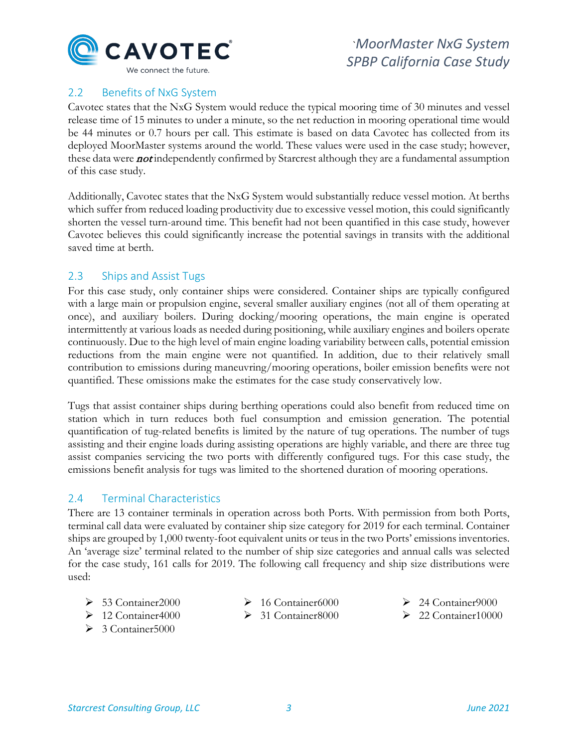

# <span id="page-4-0"></span>2.2 Benefits of NxG System

Cavotec states that the NxG System would reduce the typical mooring time of 30 minutes and vessel release time of 15 minutes to under a minute, so the net reduction in mooring operational time would be 44 minutes or 0.7 hours per call. This estimate is based on data Cavotec has collected from its deployed MoorMaster systems around the world. These values were used in the case study; however, these data were **not** independently confirmed by Starcrest although they are a fundamental assumption of this case study.

Additionally, Cavotec states that the NxG System would substantially reduce vessel motion. At berths which suffer from reduced loading productivity due to excessive vessel motion, this could significantly shorten the vessel turn-around time. This benefit had not been quantified in this case study, however Cavotec believes this could significantly increase the potential savings in transits with the additional saved time at berth.

## <span id="page-4-1"></span>2.3 Ships and Assist Tugs

For this case study, only container ships were considered. Container ships are typically configured with a large main or propulsion engine, several smaller auxiliary engines (not all of them operating at once), and auxiliary boilers. During docking/mooring operations, the main engine is operated intermittently at various loads as needed during positioning, while auxiliary engines and boilers operate continuously. Due to the high level of main engine loading variability between calls, potential emission reductions from the main engine were not quantified. In addition, due to their relatively small contribution to emissions during maneuvring/mooring operations, boiler emission benefits were not quantified. These omissions make the estimates for the case study conservatively low.

Tugs that assist container ships during berthing operations could also benefit from reduced time on station which in turn reduces both fuel consumption and emission generation. The potential quantification of tug-related benefits is limited by the nature of tug operations. The number of tugs assisting and their engine loads during assisting operations are highly variable, and there are three tug assist companies servicing the two ports with differently configured tugs. For this case study, the emissions benefit analysis for tugs was limited to the shortened duration of mooring operations.

# <span id="page-4-2"></span>2.4 Terminal Characteristics

There are 13 container terminals in operation across both Ports. With permission from both Ports, terminal call data were evaluated by container ship size category for 2019 for each terminal. Container ships are grouped by 1,000 twenty-foot equivalent units or teus in the two Ports' emissions inventories. An 'average size' terminal related to the number of ship size categories and annual calls was selected for the case study, 161 calls for 2019. The following call frequency and ship size distributions were used:

 $\geq 53$  Container 2000  $\geq 12$  Container4000

 $\geq 3$  Container 5000

- $\geq 16$  Container6000
- $\geq$  31 Container 8000
- $\geq 24$  Container 9000
- $\geq 22$  Container 10000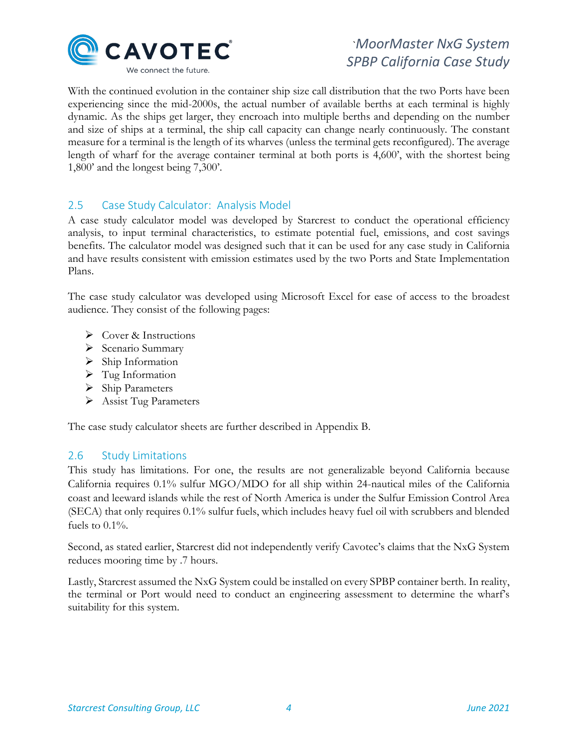

With the continued evolution in the container ship size call distribution that the two Ports have been experiencing since the mid-2000s, the actual number of available berths at each terminal is highly dynamic. As the ships get larger, they encroach into multiple berths and depending on the number and size of ships at a terminal, the ship call capacity can change nearly continuously. The constant measure for a terminal is the length of its wharves (unless the terminal gets reconfigured). The average length of wharf for the average container terminal at both ports is 4,600', with the shortest being 1,800' and the longest being 7,300'.

# <span id="page-5-0"></span>2.5 Case Study Calculator: Analysis Model

A case study calculator model was developed by Starcrest to conduct the operational efficiency analysis, to input terminal characteristics, to estimate potential fuel, emissions, and cost savings benefits. The calculator model was designed such that it can be used for any case study in California and have results consistent with emission estimates used by the two Ports and State Implementation Plans.

The case study calculator was developed using Microsoft Excel for ease of access to the broadest audience. They consist of the following pages:

- $\triangleright$  Cover & Instructions
- $\triangleright$  Scenario Summary
- $\triangleright$  Ship Information
- $\triangleright$  Tug Information
- $\triangleright$  Ship Parameters
- Assist Tug Parameters

The case study calculator sheets are further described in Appendix B.

## <span id="page-5-1"></span>2.6 Study Limitations

This study has limitations. For one, the results are not generalizable beyond California because California requires 0.1% sulfur MGO/MDO for all ship within 24-nautical miles of the California coast and leeward islands while the rest of North America is under the Sulfur Emission Control Area (SECA) that only requires 0.1% sulfur fuels, which includes heavy fuel oil with scrubbers and blended fuels to  $0.1\%$ .

Second, as stated earlier, Starcrest did not independently verify Cavotec's claims that the NxG System reduces mooring time by .7 hours.

Lastly, Starcrest assumed the NxG System could be installed on every SPBP container berth. In reality, the terminal or Port would need to conduct an engineering assessment to determine the wharf's suitability for this system.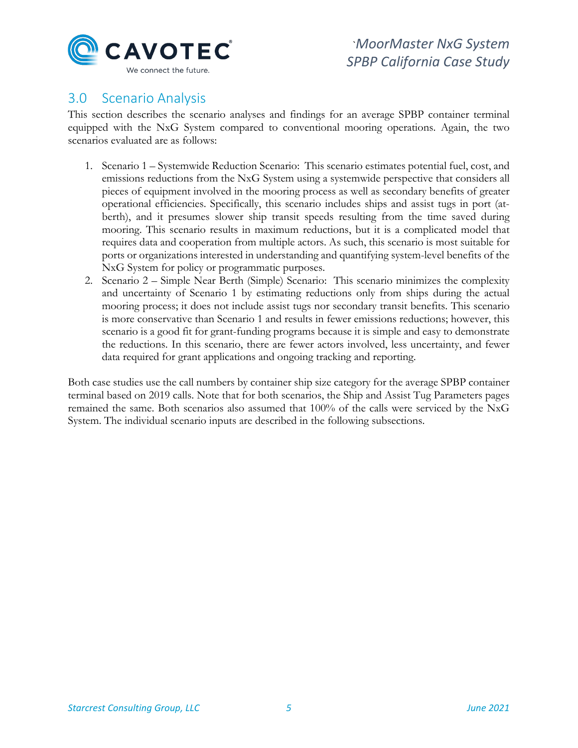

# <span id="page-6-0"></span>3.0 Scenario Analysis

This section describes the scenario analyses and findings for an average SPBP container terminal equipped with the NxG System compared to conventional mooring operations. Again, the two scenarios evaluated are as follows:

- 1. Scenario 1 Systemwide Reduction Scenario: This scenario estimates potential fuel, cost, and emissions reductions from the NxG System using a systemwide perspective that considers all pieces of equipment involved in the mooring process as well as secondary benefits of greater operational efficiencies. Specifically, this scenario includes ships and assist tugs in port (atberth), and it presumes slower ship transit speeds resulting from the time saved during mooring. This scenario results in maximum reductions, but it is a complicated model that requires data and cooperation from multiple actors. As such, this scenario is most suitable for ports or organizations interested in understanding and quantifying system-level benefits of the NxG System for policy or programmatic purposes.
- 2. Scenario 2 Simple Near Berth (Simple) Scenario: This scenario minimizes the complexity and uncertainty of Scenario 1 by estimating reductions only from ships during the actual mooring process; it does not include assist tugs nor secondary transit benefits. This scenario is more conservative than Scenario 1 and results in fewer emissions reductions; however, this scenario is a good fit for grant-funding programs because it is simple and easy to demonstrate the reductions. In this scenario, there are fewer actors involved, less uncertainty, and fewer data required for grant applications and ongoing tracking and reporting.

<span id="page-6-1"></span>Both case studies use the call numbers by container ship size category for the average SPBP container terminal based on 2019 calls. Note that for both scenarios, the Ship and Assist Tug Parameters pages remained the same. Both scenarios also assumed that 100% of the calls were serviced by the NxG System. The individual scenario inputs are described in the following subsections.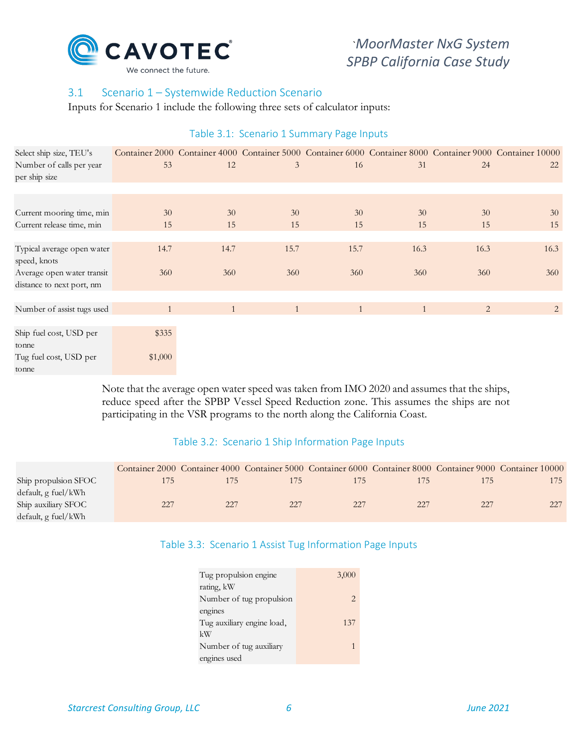

# 3.1 Scenario 1 – Systemwide Reduction Scenario

<span id="page-7-0"></span>Inputs for Scenario 1 include the following three sets of calculator inputs:

| Select ship size, TEU's                    |         |              |      |      |              |      | Container 2000 Container 4000 Container 5000 Container 6000 Container 8000 Container 9000 Container 10000 |
|--------------------------------------------|---------|--------------|------|------|--------------|------|-----------------------------------------------------------------------------------------------------------|
| Number of calls per year<br>per ship size  | 53      | 12           | 3    | 16   | 31           | 24   | 22                                                                                                        |
|                                            |         |              |      |      |              |      |                                                                                                           |
|                                            |         |              |      |      |              |      |                                                                                                           |
| Current mooring time, min                  | 30      | 30           | 30   | 30   | 30           | 30   | 30                                                                                                        |
| Current release time, min                  | 15      | 15           | 15   | 15   | 15           | 15   | 15                                                                                                        |
|                                            |         |              |      |      |              |      |                                                                                                           |
| Typical average open water<br>speed, knots | 14.7    | 14.7         | 15.7 | 15.7 | 16.3         | 16.3 | 16.3                                                                                                      |
| Average open water transit                 | 360     | 360          | 360  | 360  | 360          | 360  | 360                                                                                                       |
| distance to next port, nm                  |         |              |      |      |              |      |                                                                                                           |
|                                            |         |              |      |      |              |      |                                                                                                           |
| Number of assist tugs used                 | 1       | $\mathbf{1}$ | 1    | 1    | $\mathbf{1}$ | 2    | $\overline{2}$                                                                                            |
|                                            |         |              |      |      |              |      |                                                                                                           |
| Ship fuel cost, USD per                    | \$335   |              |      |      |              |      |                                                                                                           |
| tonne                                      |         |              |      |      |              |      |                                                                                                           |
| Tug fuel cost, USD per                     | \$1,000 |              |      |      |              |      |                                                                                                           |
| tonne                                      |         |              |      |      |              |      |                                                                                                           |

#### Table 3.1: Scenario 1 Summary Page Inputs

Note that the average open water speed was taken from IMO 2020 and assumes that the ships, reduce speed after the SPBP Vessel Speed Reduction zone. This assumes the ships are not participating in the VSR programs to the north along the California Coast.

## Table 3.2: Scenario 1 Ship Information Page Inputs

<span id="page-7-2"></span><span id="page-7-1"></span>

|                      |     |     |     |     |     |               | Container 2000 Container 4000 Container 5000 Container 6000 Container 8000 Container 9000 Container 10000 |
|----------------------|-----|-----|-----|-----|-----|---------------|-----------------------------------------------------------------------------------------------------------|
| Ship propulsion SFOC | 175 | 1/5 | 175 |     |     | $\frac{7}{2}$ |                                                                                                           |
| default, g fuel/kWh  |     |     |     |     |     |               |                                                                                                           |
| Ship auxiliary SFOC  | 227 | 227 | 227 | 227 | 227 | 227           |                                                                                                           |
| default, g fuel/kWh  |     |     |     |     |     |               |                                                                                                           |

# Table 3.3: Scenario 1 Assist Tug Information Page Inputs

| Tug propulsion engine      | 3,000 |
|----------------------------|-------|
| rating, kW                 |       |
| Number of tug propulsion   | 2     |
| engines                    |       |
| Tug auxiliary engine load, | 137   |
| kW                         |       |
| Number of tug auxiliary    |       |
| engines used               |       |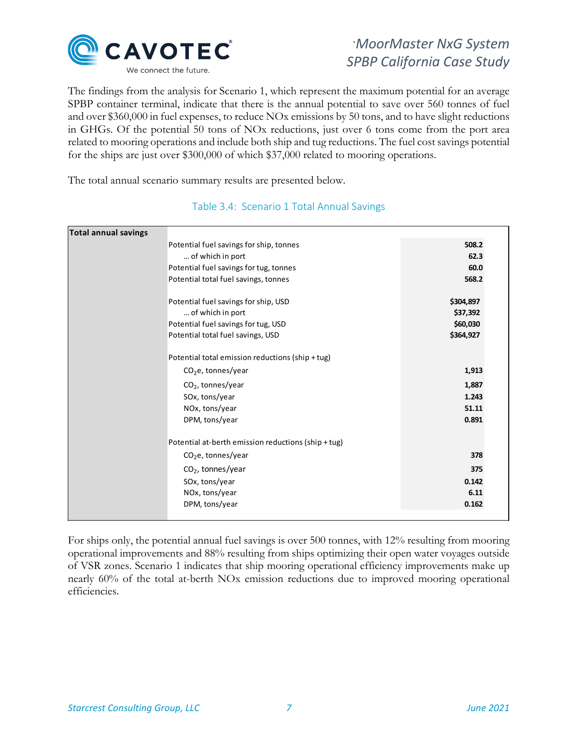

The findings from the analysis for Scenario 1, which represent the maximum potential for an average SPBP container terminal, indicate that there is the annual potential to save over 560 tonnes of fuel and over \$360,000 in fuel expenses, to reduce NOx emissions by 50 tons, and to have slight reductions in GHGs. Of the potential 50 tons of NOx reductions, just over 6 tons come from the port area related to mooring operations and include both ship and tug reductions. The fuel cost savings potential for the ships are just over \$300,000 of which \$37,000 related to mooring operations.

<span id="page-8-0"></span>The total annual scenario summary results are presented below.

| Total annual savings |                                                     |           |  |
|----------------------|-----------------------------------------------------|-----------|--|
|                      | Potential fuel savings for ship, tonnes             | 508.2     |  |
|                      | of which in port                                    | 62.3      |  |
|                      | Potential fuel savings for tug, tonnes              | 60.0      |  |
|                      | Potential total fuel savings, tonnes                | 568.2     |  |
|                      |                                                     |           |  |
|                      | Potential fuel savings for ship, USD                | \$304,897 |  |
|                      | of which in port                                    | \$37,392  |  |
|                      | Potential fuel savings for tug, USD                 | \$60,030  |  |
|                      | Potential total fuel savings, USD                   | \$364,927 |  |
|                      |                                                     |           |  |
|                      | Potential total emission reductions (ship + tug)    |           |  |
|                      | $CO2e$ , tonnes/year                                | 1,913     |  |
|                      | $CO2$ , tonnes/year                                 | 1,887     |  |
|                      | SOx, tons/year                                      | 1.243     |  |
|                      | NOx, tons/year                                      | 51.11     |  |
|                      | DPM, tons/year                                      | 0.891     |  |
|                      |                                                     |           |  |
|                      | Potential at-berth emission reductions (ship + tug) |           |  |
|                      | $CO2e$ , tonnes/year                                | 378       |  |
|                      | $CO2$ , tonnes/year                                 | 375       |  |
|                      | SOx, tons/year                                      | 0.142     |  |
|                      | NOx, tons/year                                      | 6.11      |  |
|                      | DPM, tons/year                                      | 0.162     |  |
|                      |                                                     |           |  |

## Table 3.4: Scenario 1 Total Annual Savings

For ships only, the potential annual fuel savings is over 500 tonnes, with 12% resulting from mooring operational improvements and 88% resulting from ships optimizing their open water voyages outside of VSR zones. Scenario 1 indicates that ship mooring operational efficiency improvements make up nearly 60% of the total at-berth NOx emission reductions due to improved mooring operational efficiencies.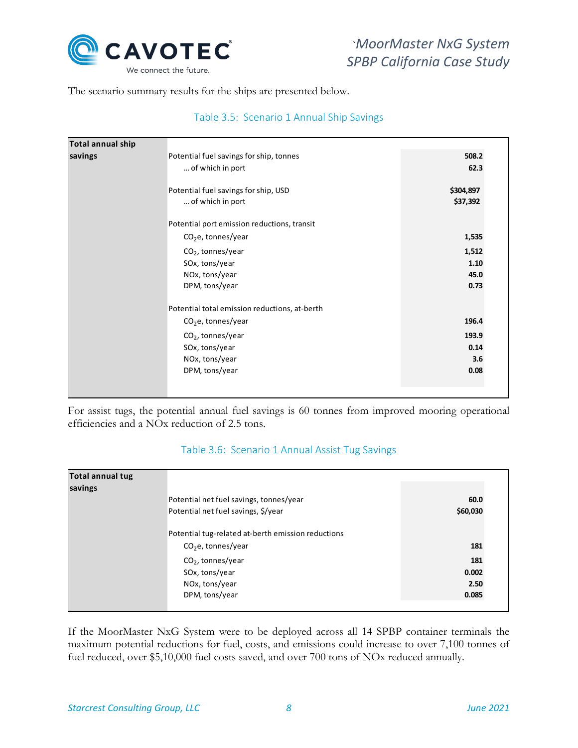

<span id="page-9-0"></span>The scenario summary results for the ships are presented below.

## Table 3.5: Scenario 1 Annual Ship Savings

| Total annual ship |                                               |           |
|-------------------|-----------------------------------------------|-----------|
| savings           | Potential fuel savings for ship, tonnes       | 508.2     |
|                   | of which in port                              | 62.3      |
|                   | Potential fuel savings for ship, USD          | \$304,897 |
|                   | of which in port                              | \$37,392  |
|                   | Potential port emission reductions, transit   |           |
|                   | $CO2e$ , tonnes/year                          | 1,535     |
|                   | $CO2$ , tonnes/year                           | 1,512     |
|                   | SOx, tons/year                                | 1.10      |
|                   | NOx, tons/year                                | 45.0      |
|                   | DPM, tons/year                                | 0.73      |
|                   | Potential total emission reductions, at-berth |           |
|                   | $CO2e$ , tonnes/year                          | 196.4     |
|                   | $CO2$ , tonnes/year                           | 193.9     |
|                   | SOx, tons/year                                | 0.14      |
|                   | NOx, tons/year                                | 3.6       |
|                   | DPM, tons/year                                | 0.08      |

For assist tugs, the potential annual fuel savings is 60 tonnes from improved mooring operational efficiencies and a NOx reduction of 2.5 tons.

#### Table 3.6: Scenario 1 Annual Assist Tug Savings

<span id="page-9-1"></span>

| Total annual tug |                                                    |          |
|------------------|----------------------------------------------------|----------|
| savings          |                                                    |          |
|                  | Potential net fuel savings, tonnes/year            | 60.0     |
|                  | Potential net fuel savings, \$/year                | \$60,030 |
|                  | Potential tug-related at-berth emission reductions |          |
|                  | $CO2e$ , tonnes/year                               | 181      |
|                  | $CO2$ , tonnes/year                                | 181      |
|                  | SOx, tons/year                                     | 0.002    |
|                  | NOx, tons/year                                     | 2.50     |
|                  | DPM, tons/year                                     | 0.085    |

If the MoorMaster NxG System were to be deployed across all 14 SPBP container terminals the maximum potential reductions for fuel, costs, and emissions could increase to over 7,100 tonnes of fuel reduced, over \$5,10,000 fuel costs saved, and over 700 tons of NOx reduced annually.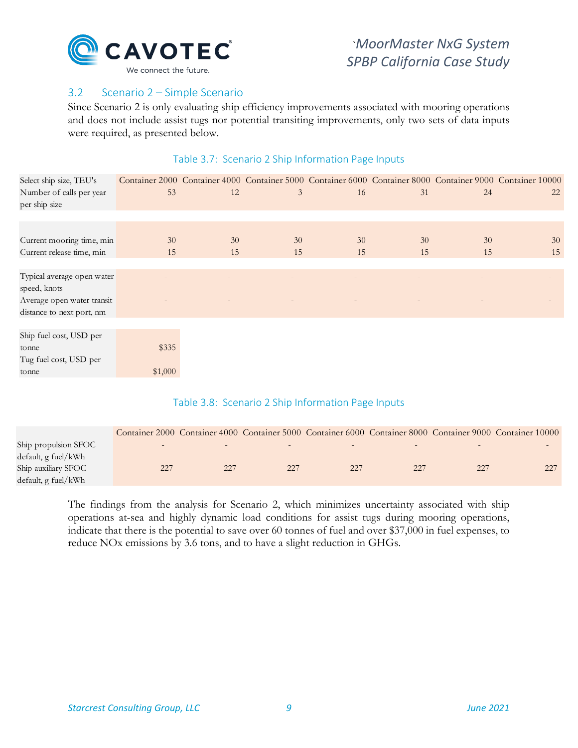

## <span id="page-10-0"></span>3.2 Scenario 2 – Simple Scenario

<span id="page-10-1"></span>Since Scenario 2 is only evaluating ship efficiency improvements associated with mooring operations and does not include assist tugs nor potential transiting improvements, only two sets of data inputs were required, as presented below.

### Table 3.7: Scenario 2 Ship Information Page Inputs

| Select ship size, TEU's    |         |    |                          |    |    |                          | Container 2000 Container 4000 Container 5000 Container 6000 Container 8000 Container 9000 Container 10000 |
|----------------------------|---------|----|--------------------------|----|----|--------------------------|-----------------------------------------------------------------------------------------------------------|
| Number of calls per year   | 53      | 12 | 3                        | 16 | 31 | 24                       | 22                                                                                                        |
| per ship size              |         |    |                          |    |    |                          |                                                                                                           |
|                            |         |    |                          |    |    |                          |                                                                                                           |
|                            |         |    |                          |    |    |                          |                                                                                                           |
| Current mooring time, min  | 30      | 30 | 30                       | 30 | 30 | 30                       | 30                                                                                                        |
| Current release time, min  | 15      | 15 | 15                       | 15 | 15 | 15                       | 15                                                                                                        |
|                            |         |    |                          |    |    |                          |                                                                                                           |
| Typical average open water |         |    |                          |    |    | $\overline{\phantom{0}}$ |                                                                                                           |
| speed, knots               |         |    |                          |    |    |                          |                                                                                                           |
| Average open water transit |         |    | $\overline{\phantom{0}}$ |    |    | $\qquad \qquad =$        |                                                                                                           |
| distance to next port, nm  |         |    |                          |    |    |                          |                                                                                                           |
|                            |         |    |                          |    |    |                          |                                                                                                           |
| Ship fuel cost, USD per    |         |    |                          |    |    |                          |                                                                                                           |
| tonne                      | \$335   |    |                          |    |    |                          |                                                                                                           |
| Tug fuel cost, USD per     |         |    |                          |    |    |                          |                                                                                                           |
| tonne                      | \$1,000 |    |                          |    |    |                          |                                                                                                           |

## Table 3.8: Scenario 2 Ship Information Page Inputs

<span id="page-10-2"></span>

|                      |        |        |        |     |     |        | Container 2000 Container 4000 Container 5000 Container 6000 Container 8000 Container 9000 Container 10000 |
|----------------------|--------|--------|--------|-----|-----|--------|-----------------------------------------------------------------------------------------------------------|
| Ship propulsion SFOC | $\sim$ | $\sim$ | $\sim$ |     |     | $\sim$ |                                                                                                           |
| default, g fuel/kWh  |        |        |        |     |     |        |                                                                                                           |
| Ship auxiliary SFOC  | 227    | 227    | 227    | 227 | 227 | 227    |                                                                                                           |
| default, g fuel/kWh  |        |        |        |     |     |        |                                                                                                           |

The findings from the analysis for Scenario 2, which minimizes uncertainty associated with ship operations at-sea and highly dynamic load conditions for assist tugs during mooring operations, indicate that there is the potential to save over 60 tonnes of fuel and over \$37,000 in fuel expenses, to reduce NOx emissions by 3.6 tons, and to have a slight reduction in GHGs.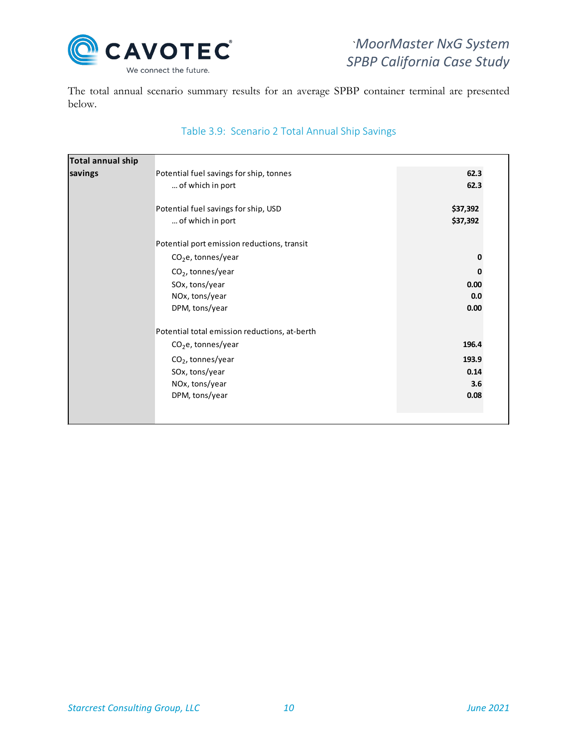

The total annual scenario summary results for an average SPBP container terminal are presented below.

<span id="page-11-0"></span>

| Total annual ship |                                               |          |
|-------------------|-----------------------------------------------|----------|
| savings           | Potential fuel savings for ship, tonnes       | 62.3     |
|                   | of which in port                              | 62.3     |
|                   |                                               |          |
|                   | Potential fuel savings for ship, USD          | \$37,392 |
|                   | of which in port                              | \$37,392 |
|                   | Potential port emission reductions, transit   |          |
|                   | $CO2e$ , tonnes/year                          | 0        |
|                   |                                               |          |
|                   | $CO2$ , tonnes/year                           | 0        |
|                   | SOx, tons/year                                | 0.00     |
|                   | NOx, tons/year                                | 0.0      |
|                   | DPM, tons/year                                | 0.00     |
|                   | Potential total emission reductions, at-berth |          |
|                   | $CO2e$ , tonnes/year                          | 196.4    |
|                   | $CO2$ , tonnes/year                           | 193.9    |
|                   | SOx, tons/year                                | 0.14     |
|                   | NOx, tons/year                                | 3.6      |
|                   | DPM, tons/year                                | 0.08     |
|                   |                                               |          |
|                   |                                               |          |

# Table 3.9: Scenario 2 Total Annual Ship Savings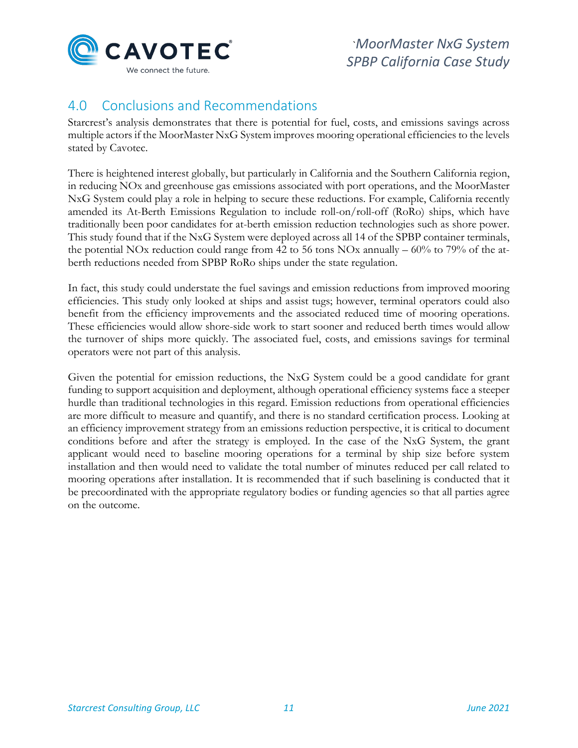

# <span id="page-12-0"></span>4.0 Conclusions and Recommendations

Starcrest's analysis demonstrates that there is potential for fuel, costs, and emissions savings across multiple actors if the MoorMaster NxG System improves mooring operational efficiencies to the levels stated by Cavotec.

There is heightened interest globally, but particularly in California and the Southern California region, in reducing NOx and greenhouse gas emissions associated with port operations, and the MoorMaster NxG System could play a role in helping to secure these reductions. For example, California recently amended its At-Berth Emissions Regulation to include roll-on/roll-off (RoRo) ships, which have traditionally been poor candidates for at-berth emission reduction technologies such as shore power. This study found that if the NxG System were deployed across all 14 of the SPBP container terminals, the potential NOx reduction could range from 42 to 56 tons NOx annually – 60% to 79% of the atberth reductions needed from SPBP RoRo ships under the state regulation.

In fact, this study could understate the fuel savings and emission reductions from improved mooring efficiencies. This study only looked at ships and assist tugs; however, terminal operators could also benefit from the efficiency improvements and the associated reduced time of mooring operations. These efficiencies would allow shore-side work to start sooner and reduced berth times would allow the turnover of ships more quickly. The associated fuel, costs, and emissions savings for terminal operators were not part of this analysis.

Given the potential for emission reductions, the NxG System could be a good candidate for grant funding to support acquisition and deployment, although operational efficiency systems face a steeper hurdle than traditional technologies in this regard. Emission reductions from operational efficiencies are more difficult to measure and quantify, and there is no standard certification process. Looking at an efficiency improvement strategy from an emissions reduction perspective, it is critical to document conditions before and after the strategy is employed. In the case of the NxG System, the grant applicant would need to baseline mooring operations for a terminal by ship size before system installation and then would need to validate the total number of minutes reduced per call related to mooring operations after installation. It is recommended that if such baselining is conducted that it be precoordinated with the appropriate regulatory bodies or funding agencies so that all parties agree on the outcome.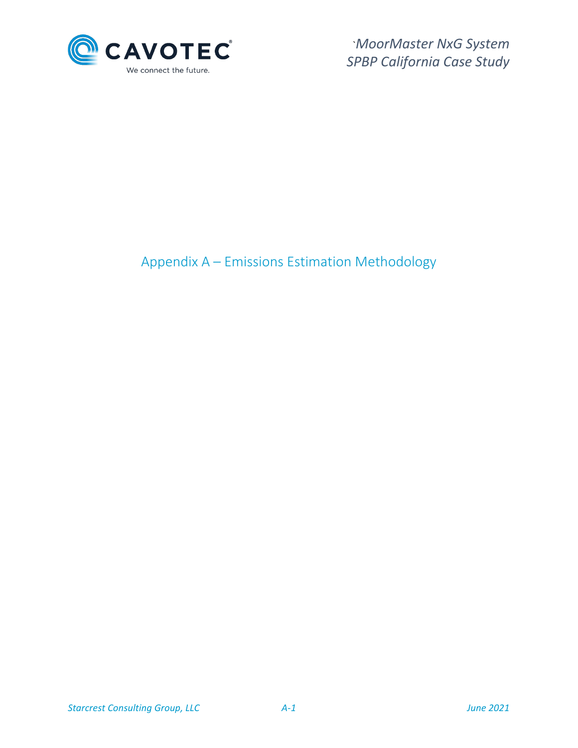

<span id="page-13-0"></span>Appendix A – Emissions Estimation Methodology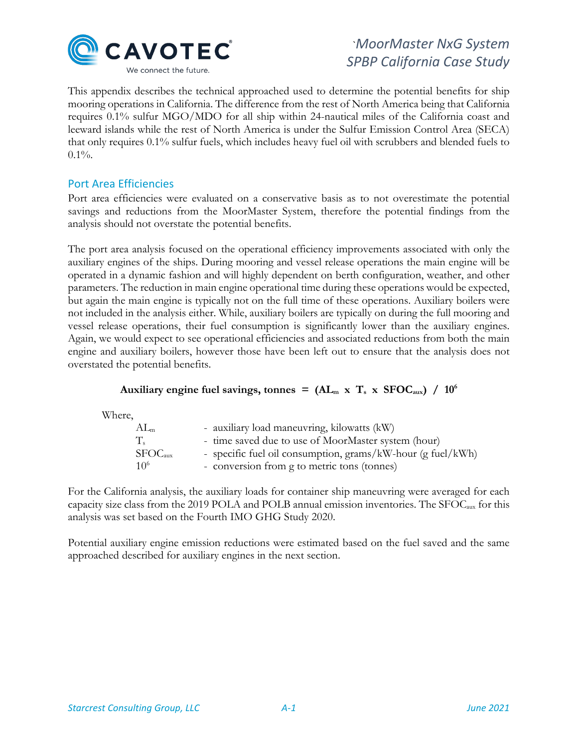

This appendix describes the technical approached used to determine the potential benefits for ship mooring operations in California. The difference from the rest of North America being that California requires 0.1% sulfur MGO/MDO for all ship within 24-nautical miles of the California coast and leeward islands while the rest of North America is under the Sulfur Emission Control Area (SECA) that only requires 0.1% sulfur fuels, which includes heavy fuel oil with scrubbers and blended fuels to  $0.1\%$ .

## Port Area Efficiencies

Port area efficiencies were evaluated on a conservative basis as to not overestimate the potential savings and reductions from the MoorMaster System, therefore the potential findings from the analysis should not overstate the potential benefits.

The port area analysis focused on the operational efficiency improvements associated with only the auxiliary engines of the ships. During mooring and vessel release operations the main engine will be operated in a dynamic fashion and will highly dependent on berth configuration, weather, and other parameters. The reduction in main engine operational time during these operations would be expected, but again the main engine is typically not on the full time of these operations. Auxiliary boilers were not included in the analysis either. While, auxiliary boilers are typically on during the full mooring and vessel release operations, their fuel consumption is significantly lower than the auxiliary engines. Again, we would expect to see operational efficiencies and associated reductions from both the main engine and auxiliary boilers, however those have been left out to ensure that the analysis does not overstated the potential benefits.

## Auxiliary engine fuel savings, tonnes =  $(AL_m \times T_s \times SFOC_{aux})$  /  $10^6$

Where,

| $AL_m$                          | - auxiliary load maneuvring, kilowatts (kW)                                                                |
|---------------------------------|------------------------------------------------------------------------------------------------------------|
| $T_{s}$                         | - time saved due to use of MoorMaster system (hour)                                                        |
| SFOC <sub>aux</sub><br>$10^{6}$ | - specific fuel oil consumption, grams/kW-hour (g fuel/kWh)<br>- conversion from g to metric tons (tonnes) |

For the California analysis, the auxiliary loads for container ship maneuvring were averaged for each capacity size class from the 2019 POLA and POLB annual emission inventories. The SFOCaux for this analysis was set based on the Fourth IMO GHG Study 2020.

Potential auxiliary engine emission reductions were estimated based on the fuel saved and the same approached described for auxiliary engines in the next section.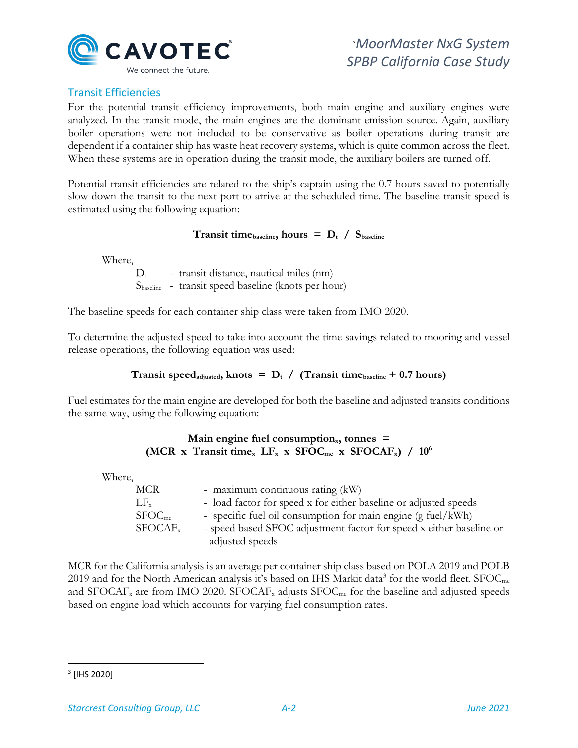

# Transit Efficiencies

For the potential transit efficiency improvements, both main engine and auxiliary engines were analyzed. In the transit mode, the main engines are the dominant emission source. Again, auxiliary boiler operations were not included to be conservative as boiler operations during transit are dependent if a container ship has waste heat recovery systems, which is quite common across the fleet. When these systems are in operation during the transit mode, the auxiliary boilers are turned off.

Potential transit efficiencies are related to the ship's captain using the 0.7 hours saved to potentially slow down the transit to the next port to arrive at the scheduled time. The baseline transit speed is estimated using the following equation:

### **Transit time** baseline, hours =  $D_t / S_{\text{baseline}}$

Where,

 $D_t$  - transit distance, nautical miles (nm) Sbaseline - transit speed baseline (knots per hour)

The baseline speeds for each container ship class were taken from IMO 2020.

To determine the adjusted speed to take into account the time savings related to mooring and vessel release operations, the following equation was used:

## **Transit speed**<sub>adjusted</sub>, knots =  $D_t$  / (Transit time<sub>baseline</sub> + 0.7 hours)

Fuel estimates for the main engine are developed for both the baseline and adjusted transits conditions the same way, using the following equation:

### Main engine fuel consumption<sub>x</sub>, tonnes = (MCR x Transit time<sub>x</sub> LF<sub>x</sub> x SFOC<sub>me</sub> x SFOCAF<sub>x</sub>) / 10<sup>6</sup>

Where,

| <b>MCR</b>         | - maximum continuous rating (kW)                                    |
|--------------------|---------------------------------------------------------------------|
| $LF_{x}$           | - load factor for speed x for either baseline or adjusted speeds    |
| SFOC <sub>me</sub> | - specific fuel oil consumption for main engine (g fuel/kWh)        |
| $SFOCAF_{x}$       | - speed based SFOC adjustment factor for speed x either baseline or |
|                    | adjusted speeds                                                     |

MCR for the California analysis is an average per container ship class based on POLA 2019 and POLB 2019 and for the North American analysis it's based on IHS Markit data<sup>[3](#page-15-0)</sup> for the world fleet. SFOC<sub>me</sub> and SFOCAF<sub>x</sub> are from IMO 2020. SFOCAF<sub>x</sub> adjusts SFOC<sub>me</sub> for the baseline and adjusted speeds based on engine load which accounts for varying fuel consumption rates.

<span id="page-15-0"></span><sup>3</sup> [IHS 2020]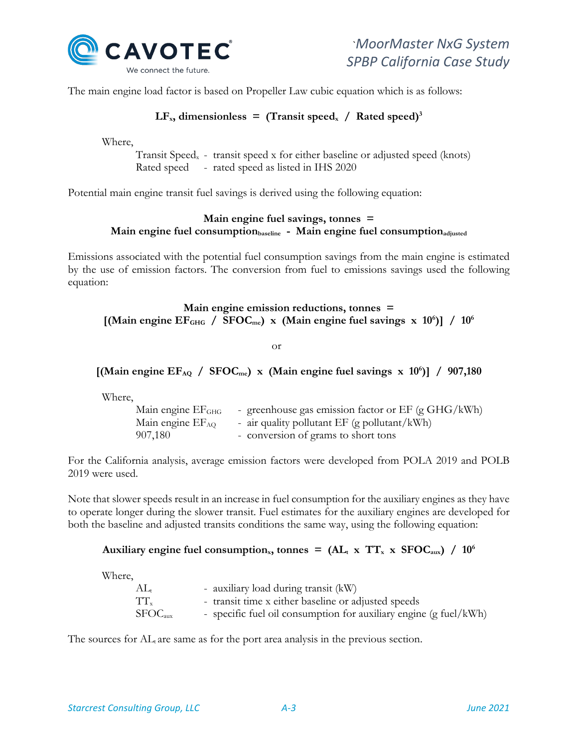

The main engine load factor is based on Propeller Law cubic equation which is as follows:

## $LF_{x}$ , dimensionless = (Transit speed<sub>x</sub> / Rated speed)<sup>3</sup>

Where,

Transit Speedx - transit speed x for either baseline or adjusted speed (knots) Rated speed - rated speed as listed in IHS 2020

Potential main engine transit fuel savings is derived using the following equation:

## **Main engine fuel savings, tonnes =**  Main engine fuel consumption<sub>baseline</sub> - Main engine fuel consumption<sub>adjusted</sub>

Emissions associated with the potential fuel consumption savings from the main engine is estimated by the use of emission factors. The conversion from fuel to emissions savings used the following equation:

## **Main engine emission reductions, tonnes =**  [(Main engine EF<sub>GHG</sub> / SFOC<sub>me</sub>) x (Main engine fuel savings x 10<sup>6</sup>)] / 10<sup>6</sup>

or

# [(Main engine EF<sub>AQ</sub> / SFOC<sub>me</sub>) x (Main engine fuel savings x 10<sup>6</sup>)] / 907,180

Where,

| Main engine EF <sub>GHG</sub> | - greenhouse gas emission factor or EF (g GHG/kWh) |
|-------------------------------|----------------------------------------------------|
| Main engine EF <sub>AQ</sub>  | - air quality pollutant EF (g pollutant/kWh)       |
| 907,180                       | - conversion of grams to short tons                |

For the California analysis, average emission factors were developed from POLA 2019 and POLB 2019 were used.

Note that slower speeds result in an increase in fuel consumption for the auxiliary engines as they have to operate longer during the slower transit. Fuel estimates for the auxiliary engines are developed for both the baseline and adjusted transits conditions the same way, using the following equation:

## Auxiliary engine fuel consumption<sub>x</sub>, tonnes =  $(AL_t \times TT_x \times SFOC_{aux})$  / 10<sup>6</sup>

Where,

| - -                 |                                                                   |
|---------------------|-------------------------------------------------------------------|
| $AL_{t}$            | - auxiliary load during transit (kW)                              |
| $TT_{x}$            | - transit time x either baseline or adjusted speeds               |
| SFOC <sub>aux</sub> | - specific fuel oil consumption for auxiliary engine (g fuel/kWh) |

The sources for  $AL_t$  are same as for the port area analysis in the previous section.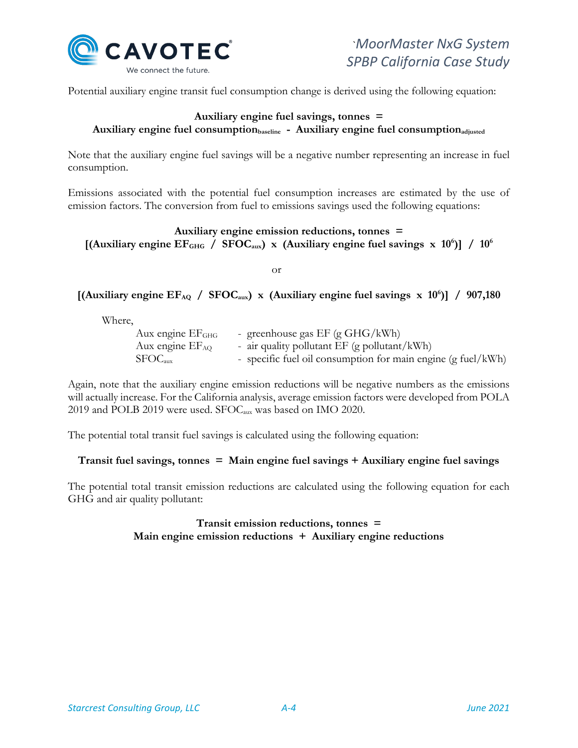

Potential auxiliary engine transit fuel consumption change is derived using the following equation:

### **Auxiliary engine fuel savings, tonnes =**  Auxiliary engine fuel consumption<sub>baseline</sub> - Auxiliary engine fuel consumption<sub>adjusted</sub>

Note that the auxiliary engine fuel savings will be a negative number representing an increase in fuel consumption.

Emissions associated with the potential fuel consumption increases are estimated by the use of emission factors. The conversion from fuel to emissions savings used the following equations:

## **Auxiliary engine emission reductions, tonnes =**  [(Auxiliary engine EF<sub>GHG</sub> / SFOC<sub>aux</sub>) x (Auxiliary engine fuel savings x 10<sup>6</sup>)] / 10<sup>6</sup>

or

# [(Auxiliary engine EF<sub>AQ</sub> / SFOC<sub>aux</sub>) x (Auxiliary engine fuel savings x 10<sup>6</sup>)] / 907,180

Where,

| Aux engine EF <sub>GHG</sub> | - greenhouse gas $EF$ (g $GHG/kWh$ )                         |
|------------------------------|--------------------------------------------------------------|
| Aux engine EF <sub>AQ</sub>  | - air quality pollutant $EF$ (g pollutant/kWh)               |
| SFOC <sub>aux</sub>          | - specific fuel oil consumption for main engine (g fuel/kWh) |

Again, note that the auxiliary engine emission reductions will be negative numbers as the emissions will actually increase. For the California analysis, average emission factors were developed from POLA 2019 and POLB 2019 were used. SFOCaux was based on IMO 2020.

The potential total transit fuel savings is calculated using the following equation:

## **Transit fuel savings, tonnes = Main engine fuel savings + Auxiliary engine fuel savings**

The potential total transit emission reductions are calculated using the following equation for each GHG and air quality pollutant:

### **Transit emission reductions, tonnes = Main engine emission reductions + Auxiliary engine reductions**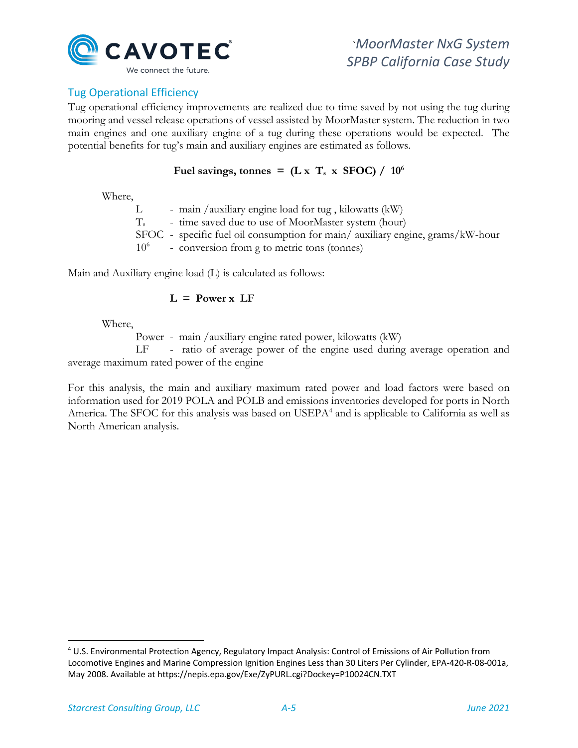

# Tug Operational Efficiency

Tug operational efficiency improvements are realized due to time saved by not using the tug during mooring and vessel release operations of vessel assisted by MoorMaster system. The reduction in two main engines and one auxiliary engine of a tug during these operations would be expected. The potential benefits for tug's main and auxiliary engines are estimated as follows.

### Fuel savings, tonnes =  $(L \times T_s \times SFOC) / 10^6$

Where,

L - main /auxiliary engine load for tug, kilowatts (kW) Ts - time saved due to use of MoorMaster system (hour) SFOC - specific fuel oil consumption for main/ auxiliary engine, grams/kW-hour  $10<sup>6</sup>$  - conversion from g to metric tons (tonnes)

Main and Auxiliary engine load (L) is calculated as follows:

### **L = Power x LF**

Where,

Power - main /auxiliary engine rated power, kilowatts (kW)

LF - ratio of average power of the engine used during average operation and average maximum rated power of the engine

For this analysis, the main and auxiliary maximum rated power and load factors were based on information used for 2019 POLA and POLB and emissions inventories developed for ports in North America. The SFOC for this analysis was based on USEPA<sup>[4](#page-18-0)</sup> and is applicable to California as well as North American analysis.

<span id="page-18-0"></span><sup>4</sup> U.S. Environmental Protection Agency, Regulatory Impact Analysis: Control of Emissions of Air Pollution from Locomotive Engines and Marine Compression Ignition Engines Less than 30 Liters Per Cylinder, EPA-420-R-08-001a, May 2008. Available at https://nepis.epa.gov/Exe/ZyPURL.cgi?Dockey=P10024CN.TXT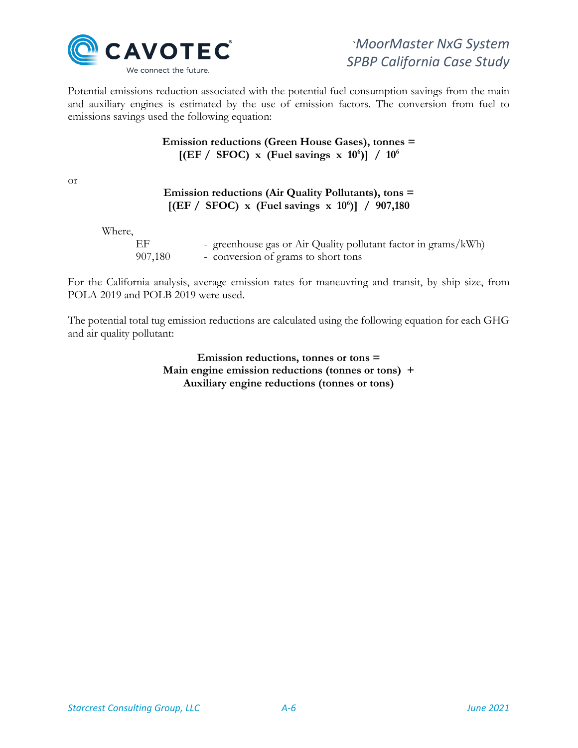

Potential emissions reduction associated with the potential fuel consumption savings from the main and auxiliary engines is estimated by the use of emission factors. The conversion from fuel to emissions savings used the following equation:

## **Emission reductions (Green House Gases), tonnes =**  [(EF / SFOC) x (Fuel savings x 10<sup>6</sup>)] / 10<sup>6</sup>

or

|        |               | Emission reductions (Air Quality Pollutants), tons =<br>[(EF / SFOC) x (Fuel savings x $10^6$ )] / 907,180 |
|--------|---------------|------------------------------------------------------------------------------------------------------------|
| Where, |               |                                                                                                            |
|        | EF<br>907,180 | - greenhouse gas or Air Quality pollutant factor in grams/kWh)<br>- conversion of grams to short tons      |

For the California analysis, average emission rates for maneuvring and transit, by ship size, from POLA 2019 and POLB 2019 were used.

The potential total tug emission reductions are calculated using the following equation for each GHG and air quality pollutant:

> **Emission reductions, tonnes or tons = Main engine emission reductions (tonnes or tons) + Auxiliary engine reductions (tonnes or tons)**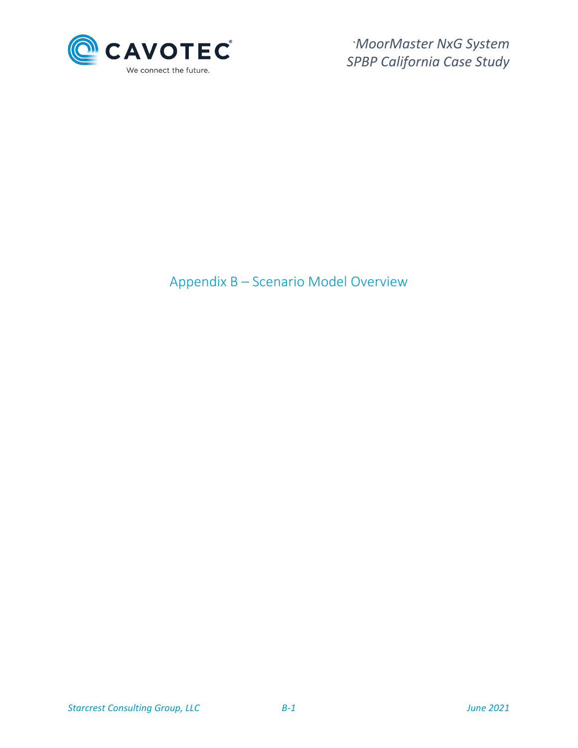

# <span id="page-20-0"></span>Appendix B – Scenario Model Overview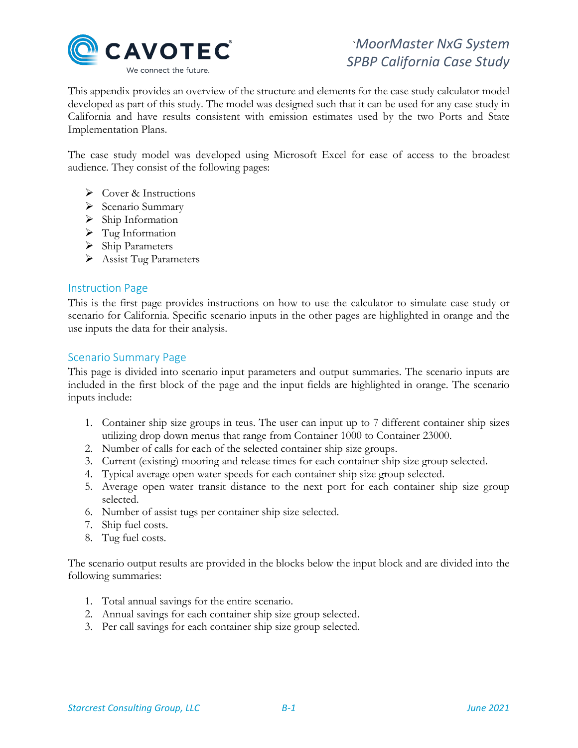

This appendix provides an overview of the structure and elements for the case study calculator model developed as part of this study. The model was designed such that it can be used for any case study in California and have results consistent with emission estimates used by the two Ports and State Implementation Plans.

The case study model was developed using Microsoft Excel for ease of access to the broadest audience. They consist of the following pages:

- Cover & Instructions
- $\triangleright$  Scenario Summary
- $\triangleright$  Ship Information
- $\triangleright$  Tug Information
- $\triangleright$  Ship Parameters
- $\triangleright$  Assist Tug Parameters

### Instruction Page

This is the first page provides instructions on how to use the calculator to simulate case study or scenario for California. Specific scenario inputs in the other pages are highlighted in orange and the use inputs the data for their analysis.

### Scenario Summary Page

This page is divided into scenario input parameters and output summaries. The scenario inputs are included in the first block of the page and the input fields are highlighted in orange. The scenario inputs include:

- 1. Container ship size groups in teus. The user can input up to 7 different container ship sizes utilizing drop down menus that range from Container 1000 to Container 23000.
- 2. Number of calls for each of the selected container ship size groups.
- 3. Current (existing) mooring and release times for each container ship size group selected.
- 4. Typical average open water speeds for each container ship size group selected.
- 5. Average open water transit distance to the next port for each container ship size group selected.
- 6. Number of assist tugs per container ship size selected.
- 7. Ship fuel costs.
- 8. Tug fuel costs.

The scenario output results are provided in the blocks below the input block and are divided into the following summaries:

- 1. Total annual savings for the entire scenario.
- 2. Annual savings for each container ship size group selected.
- 3. Per call savings for each container ship size group selected.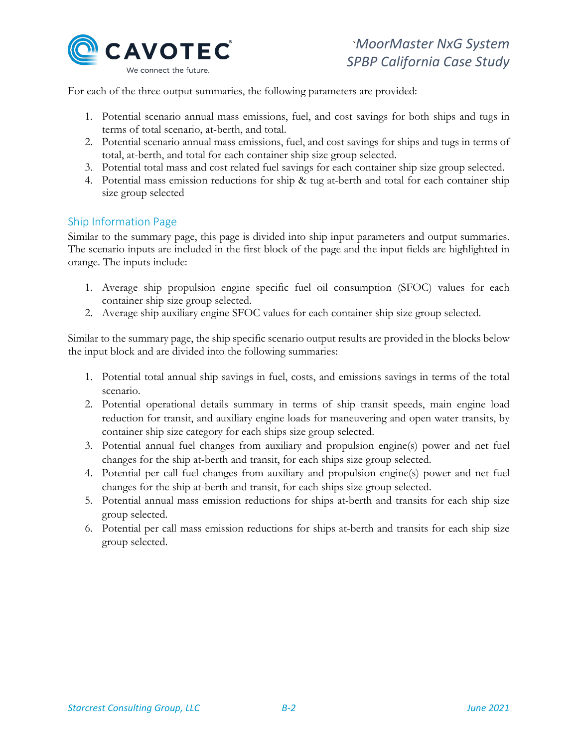

For each of the three output summaries, the following parameters are provided:

- 1. Potential scenario annual mass emissions, fuel, and cost savings for both ships and tugs in terms of total scenario, at-berth, and total.
- 2. Potential scenario annual mass emissions, fuel, and cost savings for ships and tugs in terms of total, at-berth, and total for each container ship size group selected.
- 3. Potential total mass and cost related fuel savings for each container ship size group selected.
- 4. Potential mass emission reductions for ship & tug at-berth and total for each container ship size group selected

## Ship Information Page

Similar to the summary page, this page is divided into ship input parameters and output summaries. The scenario inputs are included in the first block of the page and the input fields are highlighted in orange. The inputs include:

- 1. Average ship propulsion engine specific fuel oil consumption (SFOC) values for each container ship size group selected.
- 2. Average ship auxiliary engine SFOC values for each container ship size group selected.

Similar to the summary page, the ship specific scenario output results are provided in the blocks below the input block and are divided into the following summaries:

- 1. Potential total annual ship savings in fuel, costs, and emissions savings in terms of the total scenario.
- 2. Potential operational details summary in terms of ship transit speeds, main engine load reduction for transit, and auxiliary engine loads for maneuvering and open water transits, by container ship size category for each ships size group selected.
- 3. Potential annual fuel changes from auxiliary and propulsion engine(s) power and net fuel changes for the ship at-berth and transit, for each ships size group selected.
- 4. Potential per call fuel changes from auxiliary and propulsion engine(s) power and net fuel changes for the ship at-berth and transit, for each ships size group selected.
- 5. Potential annual mass emission reductions for ships at-berth and transits for each ship size group selected.
- 6. Potential per call mass emission reductions for ships at-berth and transits for each ship size group selected.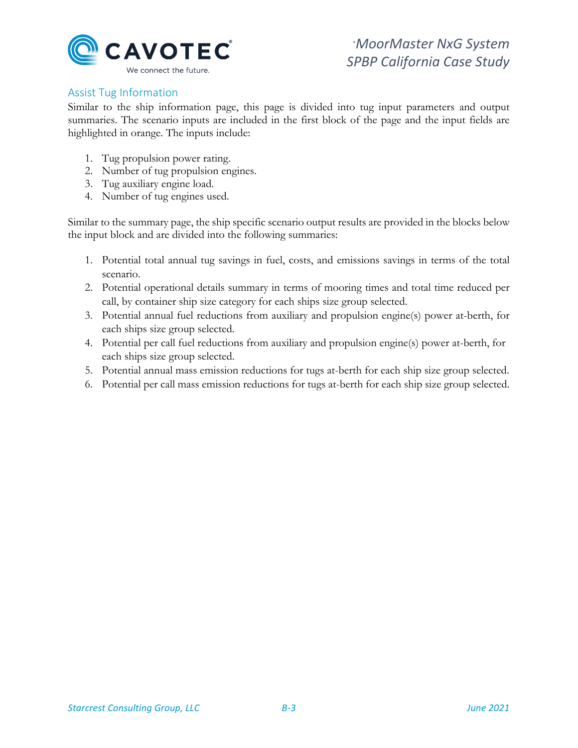

# Assist Tug Information

Similar to the ship information page, this page is divided into tug input parameters and output summaries. The scenario inputs are included in the first block of the page and the input fields are highlighted in orange. The inputs include:

- 1. Tug propulsion power rating.
- 2. Number of tug propulsion engines.
- 3. Tug auxiliary engine load.
- 4. Number of tug engines used.

Similar to the summary page, the ship specific scenario output results are provided in the blocks below the input block and are divided into the following summaries:

- 1. Potential total annual tug savings in fuel, costs, and emissions savings in terms of the total scenario.
- 2. Potential operational details summary in terms of mooring times and total time reduced per call, by container ship size category for each ships size group selected.
- 3. Potential annual fuel reductions from auxiliary and propulsion engine(s) power at-berth, for each ships size group selected.
- 4. Potential per call fuel reductions from auxiliary and propulsion engine(s) power at-berth, for each ships size group selected.
- 5. Potential annual mass emission reductions for tugs at-berth for each ship size group selected.
- 6. Potential per call mass emission reductions for tugs at-berth for each ship size group selected.